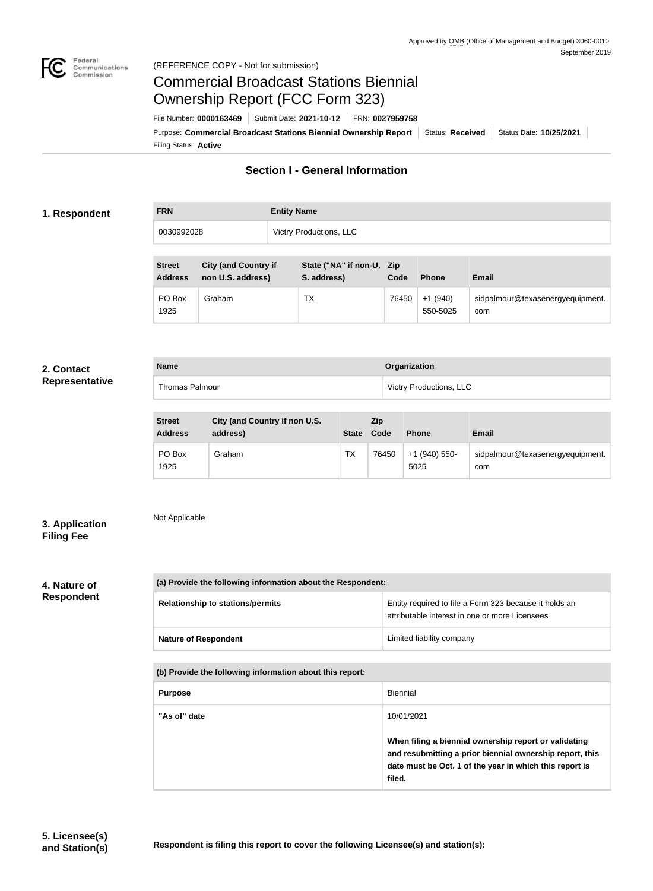

# Commercial Broadcast Stations Biennial Ownership Report (FCC Form 323)

Filing Status: **Active** Purpose: Commercial Broadcast Stations Biennial Ownership Report Status: Received | Status Date: 10/25/2021 File Number: **0000163469** Submit Date: **2021-10-12** FRN: **0027959758**

# **Section I - General Information**

# **1. Respondent**

| <b>FRN</b> | <b>Entity Name</b>             |
|------------|--------------------------------|
| 0030992028 | <b>Victry Productions, LLC</b> |

| <b>Street</b><br><b>Address</b> | <b>City (and Country if</b><br>non U.S. address) | State ("NA" if non-U. Zip<br>S. address) | Code  | <b>Phone</b>          | <b>Email</b>                            |
|---------------------------------|--------------------------------------------------|------------------------------------------|-------|-----------------------|-----------------------------------------|
| PO Box<br>1925                  | Graham                                           | TX                                       | 76450 | $+1(940)$<br>550-5025 | sidpalmour@texasenergyequipment.<br>com |

### **2. Contact Representative**

| <b>Name</b>    | Organization                   |
|----------------|--------------------------------|
| Thomas Palmour | <b>Victry Productions, LLC</b> |
|                |                                |

| <b>Street</b><br><b>Address</b> | City (and Country if non U.S.<br>address) | <b>State</b> | <b>Zip</b><br>Code | <b>Phone</b>          | <b>Email</b>                            |
|---------------------------------|-------------------------------------------|--------------|--------------------|-----------------------|-----------------------------------------|
| PO Box<br>1925                  | Graham                                    | <b>TX</b>    | 76450              | +1 (940) 550-<br>5025 | sidpalmour@texasenergyequipment.<br>com |

# **3. Application Filing Fee**

Not Applicable

# **4. Nature of**

**Respondent**

| (a) Provide the following information about the Respondent: |                                                                                                          |
|-------------------------------------------------------------|----------------------------------------------------------------------------------------------------------|
| <b>Relationship to stations/permits</b>                     | Entity required to file a Form 323 because it holds an<br>attributable interest in one or more Licensees |
| <b>Nature of Respondent</b>                                 | Limited liability company                                                                                |

**(b) Provide the following information about this report:**

| <b>Purpose</b> | <b>Biennial</b>                                                                                                                                                                        |
|----------------|----------------------------------------------------------------------------------------------------------------------------------------------------------------------------------------|
| "As of" date   | 10/01/2021                                                                                                                                                                             |
|                | When filing a biennial ownership report or validating<br>and resubmitting a prior biennial ownership report, this<br>date must be Oct. 1 of the year in which this report is<br>filed. |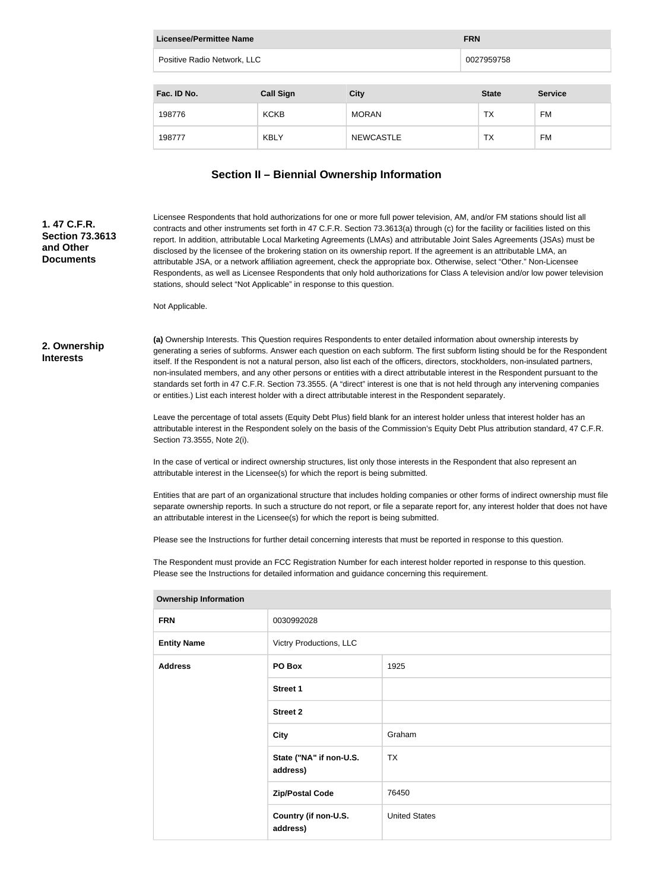| Licensee/Permittee Name     |                  |                  | <b>FRN</b>   |                |
|-----------------------------|------------------|------------------|--------------|----------------|
| Positive Radio Network, LLC |                  | 0027959758       |              |                |
|                             |                  |                  |              |                |
| Fac. ID No.                 | <b>Call Sign</b> | <b>City</b>      | <b>State</b> | <b>Service</b> |
| 198776                      | <b>KCKB</b>      | <b>MORAN</b>     | <b>TX</b>    | FM             |
| 198777                      | <b>KBLY</b>      | <b>NEWCASTLE</b> | <b>TX</b>    | FM             |

# **Section II – Biennial Ownership Information**

#### Licensee Respondents that hold authorizations for one or more full power television, AM, and/or FM stations should list all contracts and other instruments set forth in 47 C.F.R. Section 73.3613(a) through (c) for the facility or facilities listed on this report. In addition, attributable Local Marketing Agreements (LMAs) and attributable Joint Sales Agreements (JSAs) must be disclosed by the licensee of the brokering station on its ownership report. If the agreement is an attributable LMA, an attributable JSA, or a network affiliation agreement, check the appropriate box. Otherwise, select "Other." Non-Licensee Respondents, as well as Licensee Respondents that only hold authorizations for Class A television and/or low power television stations, should select "Not Applicable" in response to this question.

Not Applicable.

#### **2. Ownership Interests**

**1. 47 C.F.R. Section 73.3613** 

**and Other Documents**

> **(a)** Ownership Interests. This Question requires Respondents to enter detailed information about ownership interests by generating a series of subforms. Answer each question on each subform. The first subform listing should be for the Respondent itself. If the Respondent is not a natural person, also list each of the officers, directors, stockholders, non-insulated partners, non-insulated members, and any other persons or entities with a direct attributable interest in the Respondent pursuant to the standards set forth in 47 C.F.R. Section 73.3555. (A "direct" interest is one that is not held through any intervening companies or entities.) List each interest holder with a direct attributable interest in the Respondent separately.

Leave the percentage of total assets (Equity Debt Plus) field blank for an interest holder unless that interest holder has an attributable interest in the Respondent solely on the basis of the Commission's Equity Debt Plus attribution standard, 47 C.F.R. Section 73.3555, Note 2(i).

In the case of vertical or indirect ownership structures, list only those interests in the Respondent that also represent an attributable interest in the Licensee(s) for which the report is being submitted.

Entities that are part of an organizational structure that includes holding companies or other forms of indirect ownership must file separate ownership reports. In such a structure do not report, or file a separate report for, any interest holder that does not have an attributable interest in the Licensee(s) for which the report is being submitted.

Please see the Instructions for further detail concerning interests that must be reported in response to this question.

The Respondent must provide an FCC Registration Number for each interest holder reported in response to this question. Please see the Instructions for detailed information and guidance concerning this requirement.

| <b>FRN</b>         | 0030992028                          |                      |
|--------------------|-------------------------------------|----------------------|
| <b>Entity Name</b> | Victry Productions, LLC             |                      |
| <b>Address</b>     | PO Box                              | 1925                 |
|                    | <b>Street 1</b>                     |                      |
|                    | <b>Street 2</b>                     |                      |
|                    | <b>City</b>                         | Graham               |
|                    | State ("NA" if non-U.S.<br>address) | <b>TX</b>            |
|                    | <b>Zip/Postal Code</b>              | 76450                |
|                    | Country (if non-U.S.<br>address)    | <b>United States</b> |
|                    |                                     |                      |

#### **Ownership Information**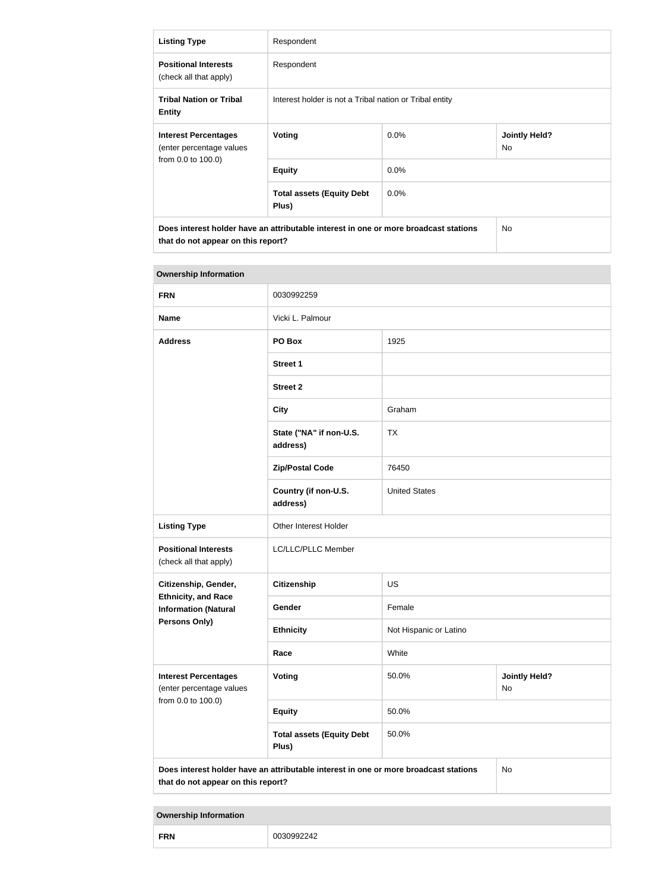| <b>Listing Type</b>                                     | Respondent                                                                           |                                                         |     |
|---------------------------------------------------------|--------------------------------------------------------------------------------------|---------------------------------------------------------|-----|
| <b>Positional Interests</b><br>(check all that apply)   | Respondent                                                                           |                                                         |     |
| <b>Tribal Nation or Tribal</b><br><b>Entity</b>         | Interest holder is not a Tribal nation or Tribal entity                              |                                                         |     |
| <b>Interest Percentages</b><br>(enter percentage values | Voting                                                                               | $0.0\%$<br><b>Jointly Held?</b><br><b>No</b><br>$0.0\%$ |     |
| from 0.0 to 100.0)                                      | <b>Equity</b>                                                                        |                                                         |     |
|                                                         | <b>Total assets (Equity Debt</b><br>Plus)                                            | $0.0\%$                                                 |     |
| that do not appear on this report?                      | Does interest holder have an attributable interest in one or more broadcast stations |                                                         | No. |

| <b>Ownership Information</b>                              |                                                                                      |                                     |    |  |
|-----------------------------------------------------------|--------------------------------------------------------------------------------------|-------------------------------------|----|--|
| <b>FRN</b>                                                | 0030992259                                                                           |                                     |    |  |
| <b>Name</b>                                               | Vicki L. Palmour                                                                     |                                     |    |  |
| <b>Address</b>                                            | PO Box                                                                               | 1925                                |    |  |
|                                                           | <b>Street 1</b>                                                                      |                                     |    |  |
|                                                           | <b>Street 2</b>                                                                      |                                     |    |  |
|                                                           | <b>City</b>                                                                          | Graham                              |    |  |
|                                                           | State ("NA" if non-U.S.<br>address)                                                  | <b>TX</b>                           |    |  |
|                                                           | <b>Zip/Postal Code</b>                                                               | 76450                               |    |  |
|                                                           | Country (if non-U.S.<br>address)                                                     | <b>United States</b>                |    |  |
| <b>Listing Type</b>                                       | Other Interest Holder                                                                |                                     |    |  |
| <b>Positional Interests</b><br>(check all that apply)     | LC/LLC/PLLC Member                                                                   |                                     |    |  |
| Citizenship, Gender,                                      | <b>Citizenship</b>                                                                   | <b>US</b>                           |    |  |
| <b>Ethnicity, and Race</b><br><b>Information (Natural</b> | Gender                                                                               | Female                              |    |  |
| Persons Only)                                             | <b>Ethnicity</b>                                                                     | Not Hispanic or Latino              |    |  |
|                                                           | Race                                                                                 | White                               |    |  |
| <b>Interest Percentages</b><br>(enter percentage values   | Voting                                                                               | 50.0%<br><b>Jointly Held?</b><br>No |    |  |
| from 0.0 to 100.0)                                        | <b>Equity</b>                                                                        | 50.0%                               |    |  |
|                                                           | <b>Total assets (Equity Debt</b><br>Plus)                                            | 50.0%                               |    |  |
| that do not appear on this report?                        | Does interest holder have an attributable interest in one or more broadcast stations |                                     | No |  |

### **Ownership Information**

| <b>FRN</b><br>n<br>. |
|----------------------|
|----------------------|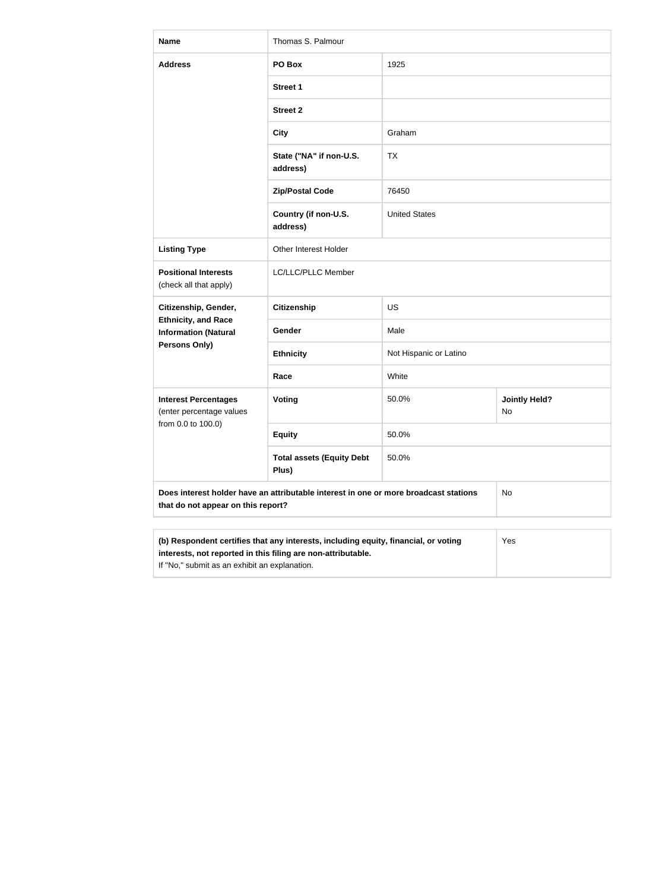| <b>Name</b>                                                                                                                                         | Thomas S. Palmour                         |                        |                            |  |
|-----------------------------------------------------------------------------------------------------------------------------------------------------|-------------------------------------------|------------------------|----------------------------|--|
| <b>Address</b>                                                                                                                                      | PO Box                                    | 1925                   |                            |  |
|                                                                                                                                                     | <b>Street 1</b>                           |                        |                            |  |
|                                                                                                                                                     | <b>Street 2</b>                           |                        |                            |  |
|                                                                                                                                                     | <b>City</b>                               | Graham                 |                            |  |
|                                                                                                                                                     | State ("NA" if non-U.S.<br>address)       | TX                     |                            |  |
|                                                                                                                                                     | <b>Zip/Postal Code</b>                    | 76450                  |                            |  |
|                                                                                                                                                     | Country (if non-U.S.<br>address)          | <b>United States</b>   |                            |  |
| <b>Listing Type</b>                                                                                                                                 | Other Interest Holder                     |                        |                            |  |
| <b>Positional Interests</b><br>(check all that apply)                                                                                               | LC/LLC/PLLC Member                        |                        |                            |  |
| Citizenship, Gender,<br><b>Ethnicity, and Race</b><br><b>Information (Natural</b><br>Persons Only)                                                  | <b>Citizenship</b>                        | <b>US</b>              |                            |  |
|                                                                                                                                                     | <b>Gender</b>                             | Male                   |                            |  |
|                                                                                                                                                     | <b>Ethnicity</b>                          | Not Hispanic or Latino |                            |  |
|                                                                                                                                                     | Race                                      | White                  |                            |  |
| <b>Interest Percentages</b><br>(enter percentage values<br>from 0.0 to 100.0)                                                                       | <b>Voting</b>                             | 50.0%                  | <b>Jointly Held?</b><br>No |  |
|                                                                                                                                                     | <b>Equity</b>                             | 50.0%                  |                            |  |
|                                                                                                                                                     | <b>Total assets (Equity Debt</b><br>Plus) | 50.0%                  |                            |  |
| Does interest holder have an attributable interest in one or more broadcast stations<br>that do not appear on this report?                          |                                           |                        | No                         |  |
|                                                                                                                                                     |                                           |                        |                            |  |
| (b) Respondent certifies that any interests, including equity, financial, or voting<br>interests, not reported in this filing are non-attributable. | Yes                                       |                        |                            |  |

If "No," submit as an exhibit an explanation.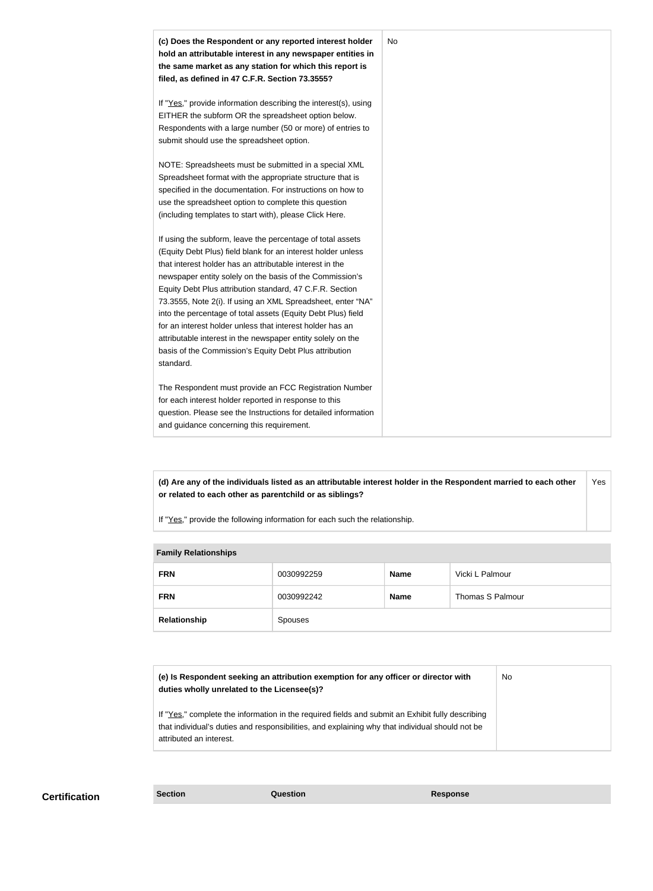

**(d) Are any of the individuals listed as an attributable interest holder in the Respondent married to each other or related to each other as parentchild or as siblings?** Yes

If "Yes," provide the following information for each such the relationship.

| <b>Family Relationships</b> |            |             |                  |  |
|-----------------------------|------------|-------------|------------------|--|
| <b>FRN</b>                  | 0030992259 | <b>Name</b> | Vicki L Palmour  |  |
| <b>FRN</b>                  | 0030992242 | <b>Name</b> | Thomas S Palmour |  |
| Relationship                | Spouses    |             |                  |  |

| (e) Is Respondent seeking an attribution exemption for any officer or director with<br>duties wholly unrelated to the Licensee(s)?                                                                                             | No |
|--------------------------------------------------------------------------------------------------------------------------------------------------------------------------------------------------------------------------------|----|
| If "Yes," complete the information in the required fields and submit an Exhibit fully describing<br>that individual's duties and responsibilities, and explaining why that individual should not be<br>attributed an interest. |    |